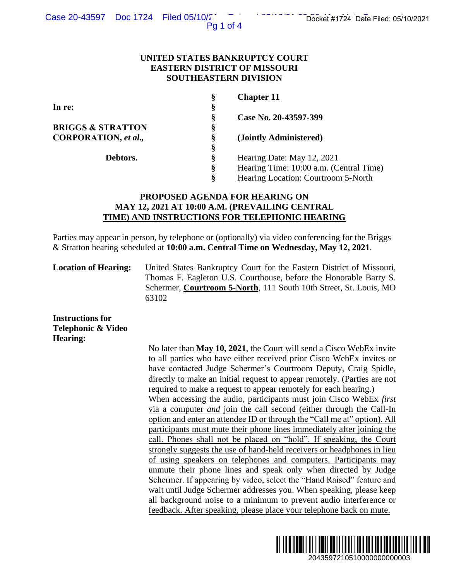Pg 1 of 4

## **UNITED STATES BANKRUPTCY COURT EASTERN DISTRICT OF MISSOURI SOUTHEASTERN DIVISION**

| §<br>In re:<br>Case No. 20-43597-399<br>Ş           |  |
|-----------------------------------------------------|--|
|                                                     |  |
|                                                     |  |
| <b>BRIGGS &amp; STRATTON</b><br>§                   |  |
| CORPORATION, et al.,<br>§<br>(Jointly Administered) |  |
| §                                                   |  |
| ş<br>Hearing Date: May 12, 2021<br>Debtors.         |  |
| §<br>Hearing Time: 10:00 a.m. (Central Time)        |  |
| Hearing Location: Courtroom 5-North<br>ş            |  |

# **PROPOSED AGENDA FOR HEARING ON MAY 12, 2021 AT 10:00 A.M. (PREVAILING CENTRAL TIME) AND INSTRUCTIONS FOR TELEPHONIC HEARING**

Parties may appear in person, by telephone or (optionally) via video conferencing for the Briggs & Stratton hearing scheduled at **10:00 a.m. Central Time on Wednesday, May 12, 2021**.

**Location of Hearing:** United States Bankruptcy Court for the Eastern District of Missouri, Thomas F. Eagleton U.S. Courthouse, before the Honorable Barry S. Schermer, **Courtroom 5-North**, 111 South 10th Street, St. Louis, MO 63102

**Instructions for Telephonic & Video Hearing:**

No later than **May 10, 2021**, the Court will send a Cisco WebEx invite to all parties who have either received prior Cisco WebEx invites or have contacted Judge Schermer's Courtroom Deputy, Craig Spidle, directly to make an initial request to appear remotely. (Parties are not required to make a request to appear remotely for each hearing.) When accessing the audio, participants must join Cisco WebEx *first*  via a computer *and* join the call second (either through the Call-In option and enter an attendee ID or through the "Call me at" option). All participants must mute their phone lines immediately after joining the call. Phones shall not be placed on "hold". If speaking, the Court strongly suggests the use of hand-held receivers or headphones in lieu of using speakers on telephones and computers. Participants may unmute their phone lines and speak only when directed by Judge Schermer. If appearing by video, select the "Hand Raised" feature and wait until Judge Schermer addresses you. When speaking, please keep all background noise to a minimum to prevent audio interference or feedback. After speaking, please place your telephone back on mute. 2043597210510000000000003 Docket #1724 Date Filed: 05/10/2021

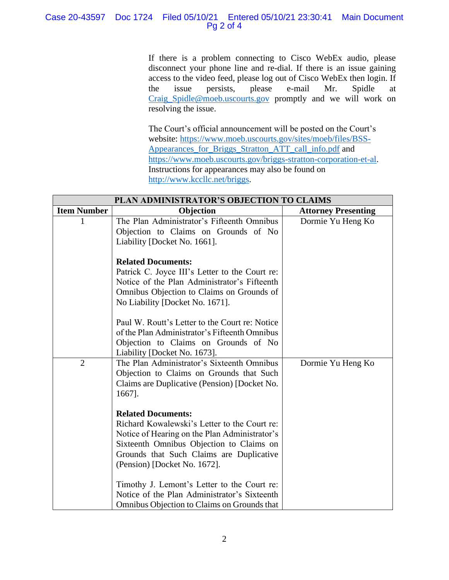# Case 20-43597 Doc 1724 Filed 05/10/21 Entered 05/10/21 23:30:41 Main Document Pg 2 of 4

If there is a problem connecting to Cisco WebEx audio, please disconnect your phone line and re-dial. If there is an issue gaining access to the video feed, please log out of Cisco WebEx then login. If the issue persists, please e-mail Mr. Spidle at [Craig\\_Spidle@moeb.uscourts.gov](mailto:Shontelle_McCoy@moeb.uscourts.gov) promptly and we will work on resolving the issue.

The Court's official announcement will be posted on the Court's website: [https://www.moeb.uscourts.gov/sites/moeb/files/BSS-](https://www.moeb.uscourts.gov/sites/moeb/files/BSS-Appearances_for_Briggs_Stratton_ATT_call_info.pdf)[Appearances\\_for\\_Briggs\\_Stratton\\_ATT\\_call\\_info.pdf](https://www.moeb.uscourts.gov/sites/moeb/files/BSS-Appearances_for_Briggs_Stratton_ATT_call_info.pdf) and [https://www.moeb.uscourts.gov/briggs-stratton-corporation-et-al.](https://www.moeb.uscourts.gov/briggs-stratton-corporation-et-al) Instructions for appearances may also be found on [http://www.kccllc.net/briggs.](http://www.kccllc.net/briggs)

| PLAN ADMINISTRATOR'S OBJECTION TO CLAIMS |                                                                                                                                                                                                                                                    |                            |  |
|------------------------------------------|----------------------------------------------------------------------------------------------------------------------------------------------------------------------------------------------------------------------------------------------------|----------------------------|--|
| <b>Item Number</b>                       | Objection                                                                                                                                                                                                                                          | <b>Attorney Presenting</b> |  |
|                                          | The Plan Administrator's Fifteenth Omnibus<br>Objection to Claims on Grounds of No<br>Liability [Docket No. 1661].                                                                                                                                 | Dormie Yu Heng Ko          |  |
|                                          | <b>Related Documents:</b><br>Patrick C. Joyce III's Letter to the Court re:<br>Notice of the Plan Administrator's Fifteenth<br>Omnibus Objection to Claims on Grounds of<br>No Liability [Docket No. 1671].                                        |                            |  |
|                                          | Paul W. Routt's Letter to the Court re: Notice<br>of the Plan Administrator's Fifteenth Omnibus<br>Objection to Claims on Grounds of No<br>Liability [Docket No. 1673].                                                                            |                            |  |
| $\overline{2}$                           | The Plan Administrator's Sixteenth Omnibus<br>Objection to Claims on Grounds that Such<br>Claims are Duplicative (Pension) [Docket No.<br>1667].                                                                                                   | Dormie Yu Heng Ko          |  |
|                                          | <b>Related Documents:</b><br>Richard Kowalewski's Letter to the Court re:<br>Notice of Hearing on the Plan Administrator's<br>Sixteenth Omnibus Objection to Claims on<br>Grounds that Such Claims are Duplicative<br>(Pension) [Docket No. 1672]. |                            |  |
|                                          | Timothy J. Lemont's Letter to the Court re:<br>Notice of the Plan Administrator's Sixteenth<br>Omnibus Objection to Claims on Grounds that                                                                                                         |                            |  |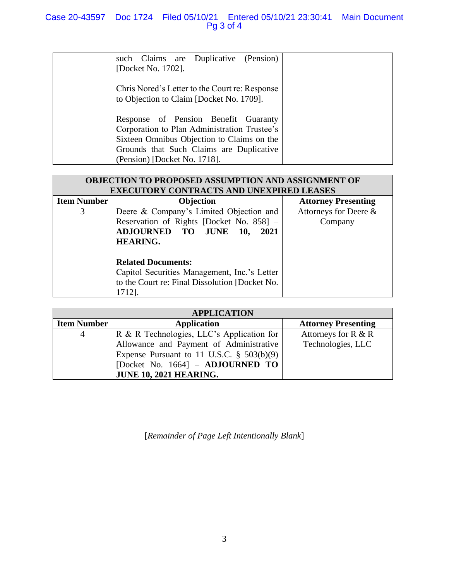| such Claims are Duplicative (Pension)<br>[Docket No. 1702].                            |
|----------------------------------------------------------------------------------------|
| Chris Nored's Letter to the Court re: Response                                         |
| to Objection to Claim [Docket No. 1709].                                               |
| Response of Pension Benefit Guaranty<br>Corporation to Plan Administration Trustee's   |
| Sixteen Omnibus Objection to Claims on the<br>Grounds that Such Claims are Duplicative |
| (Pension) [Docket No. 1718].                                                           |

| <b>OBJECTION TO PROPOSED ASSUMPTION AND ASSIGNMENT OF</b> |                                                |                            |  |  |
|-----------------------------------------------------------|------------------------------------------------|----------------------------|--|--|
| <b>EXECUTORY CONTRACTS AND UNEXPIRED LEASES</b>           |                                                |                            |  |  |
| <b>Item Number</b>                                        | Objection                                      | <b>Attorney Presenting</b> |  |  |
| 3                                                         | Deere & Company's Limited Objection and        | Attorneys for Deere &      |  |  |
|                                                           | Reservation of Rights [Docket No. 858] -       | Company                    |  |  |
|                                                           | <b>ADJOURNED TO JUNE</b><br>2021<br>10,        |                            |  |  |
|                                                           | <b>HEARING.</b>                                |                            |  |  |
|                                                           |                                                |                            |  |  |
|                                                           | <b>Related Documents:</b>                      |                            |  |  |
|                                                           | Capitol Securities Management, Inc.'s Letter   |                            |  |  |
|                                                           | to the Court re: Final Dissolution [Docket No. |                            |  |  |
|                                                           | 1712].                                         |                            |  |  |

| <b>APPLICATION</b> |                                              |                            |  |
|--------------------|----------------------------------------------|----------------------------|--|
| <b>Item Number</b> | <b>Application</b>                           | <b>Attorney Presenting</b> |  |
| 4                  | R & R Technologies, LLC's Application for    | Attorneys for $R & R$      |  |
|                    | Allowance and Payment of Administrative      | Technologies, LLC          |  |
|                    | Expense Pursuant to 11 U.S.C. $\S$ 503(b)(9) |                            |  |
|                    | [Docket No. 1664] $-$ <b>ADJOURNED TO</b>    |                            |  |
|                    | <b>JUNE 10, 2021 HEARING.</b>                |                            |  |

[*Remainder of Page Left Intentionally Blank*]